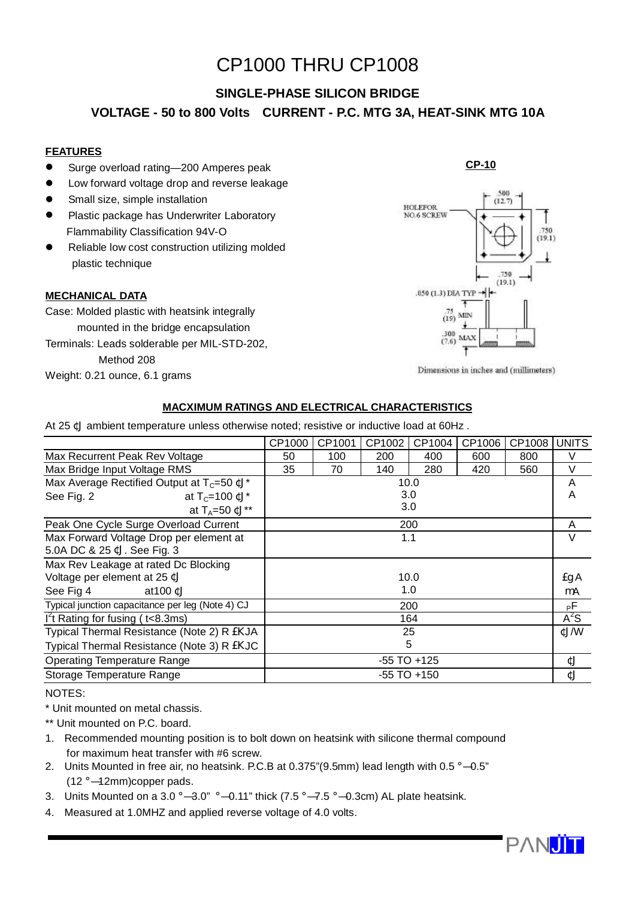# CP1000 THRU CP1008

## **SINGLE-PHASE SILICON BRIDGE**

## **VOLTAGE - 50 to 800 Volts CURRENT - P.C. MTG 3A, HEAT-SINK MTG 10A**

### **FEATURES**

- Surge overload rating—200 Amperes peak
- $\bullet$  Low forward voltage drop and reverse leakage
- Small size, simple installation
- **•** Plastic package has Underwriter Laboratory Flammability Classification 94V-O
- Reliable low cost construction utilizing molded plastic technique

#### **MECHANICAL DATA**

Case: Molded plastic with heatsink integrally mounted in the bridge encapsulation Terminals: Leads solderable per MIL-STD-202, Method 208 Weight: 0.21 ounce, 6.1 grams

# **HOLEFOR NO.6 SCREW** 750  $(191)$ 750  $(19.1)$ .050 (1.3) DIA TYP - $\frac{75}{(19)}$  MIN 300 5.533

**CP-10**

Dimensions in inches and (millimeters)

#### **MACXIMUM RATINGS AND ELECTRICAL CHARACTERISTICS**

At 25 ¢J ambient temperature unless otherwise noted; resistive or inductive load at 60Hz .

|                                                   | CP1000          | CP1001          | CP1002 | CP1004 | CP1006 | CP1008 | <b>UNITS</b> |
|---------------------------------------------------|-----------------|-----------------|--------|--------|--------|--------|--------------|
| Max Recurrent Peak Rev Voltage                    | 50              | 100             | 200    | 400    | 600    | 800    | $\vee$       |
| Max Bridge Input Voltage RMS                      | 35              | 70              | 140    | 280    | 420    | 560    | V            |
| Max Average Rectified Output at $T_c = 50$ ¢J*    |                 | 10.0            |        |        |        |        |              |
| See Fig. 2<br>at $T_c = 100 \text{ }\mathbb{C}$ * | 3.0             |                 |        |        |        |        | A            |
| at $T_A = 50$ ¢J**                                | 3.0             |                 |        |        |        |        |              |
| Peak One Cycle Surge Overload Current             | 200             |                 |        |        |        |        | A            |
| Max Forward Voltage Drop per element at           | 1.1             |                 |        |        |        |        | V            |
| 5.0A DC & 25 ¢J. See Fig. 3                       |                 |                 |        |        |        |        |              |
| Max Rev Leakage at rated Dc Blocking              |                 |                 |        |        |        |        |              |
| Voltage per element at 25 ¢J                      | 10.0            |                 |        |        |        |        | £g A         |
| See Fig 4<br>at $100 \, \text{C}$                 | 1.0             |                 |        |        |        |        | mA           |
| Typical junction capacitance per leg (Note 4) CJ  | 200             |                 |        |        |        |        | РF           |
| $I2$ t Rating for fusing ( $t<8.3$ ms)            | 164             |                 |        |        |        |        | $A^2S$       |
| Typical Thermal Resistance (Note 2) R EKJA        | 25              |                 |        |        |        |        | ¢J/W         |
| Typical Thermal Resistance (Note 3) R EKJC        | 5               |                 |        |        |        |        |              |
| <b>Operating Temperature Range</b>                | $-55$ TO $+125$ |                 |        |        |        |        | ¢J           |
| Storage Temperature Range                         |                 | $-55$ TO $+150$ |        |        |        |        |              |
|                                                   |                 |                 |        |        |        |        |              |

NOTES:

\* Unit mounted on metal chassis.

\*\* Unit mounted on P.C. board.

- 1. Recommended mounting position is to bolt down on heatsink with silicone thermal compound for maximum heat transfer with #6 screw.
- 2. Units Mounted in free air, no heatsink. P.C.B at 0.375"(9.5mm) lead length with 0.5 ¡Ñ 0.5" (12 ¡Ñ 12mm)copper pads.
- 3. Units Mounted on a 3.0  $\hat{N}$  3.0"  $\hat{N}$  0.11" thick (7.5  $\hat{N}$  7.5  $\hat{N}$  0.3cm) AL plate heatsink.
- 4. Measured at 1.0MHZ and applied reverse voltage of 4.0 volts.